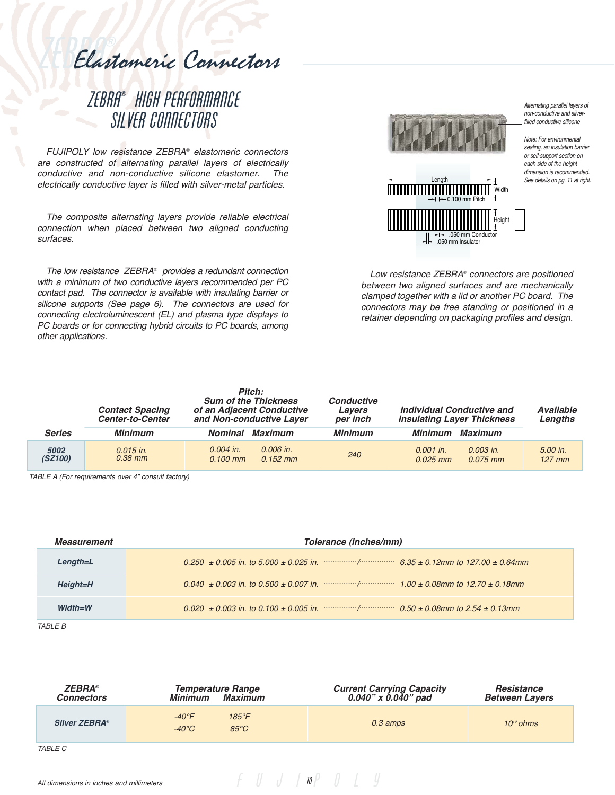Elastomeric Connectors

# ZEBRA® HIGH PERFORMANCE SILVER CONNECTORS

FUJIPOLY low resistance ZEBRA® elastomeric connectors are constructed of alternating parallel layers of electrically conductive and non-conductive silicone elastomer. The electrically conductive layer is filled with silver-metal particles.

The composite alternating layers provide reliable electrical connection when placed between two aligned conducting surfaces.

The low resistance ZEBRA® provides a redundant connection with a minimum of two conductive layers recommended per PC contact pad. The connector is available with insulating barrier or silicone supports (See page 6). The connectors are used for connecting electroluminescent (EL) and plasma type displays to PC boards or for connecting hybrid circuits to PC boards, among other applications.



Alternating parallel layers of non-conductive and silverfilled conductive silicone

Note: For environmental sealing, an insulation barrier or self-support section on each side of the height dimension is recommended. See details on pg. 11 at right.

Low resistance ZEBRA® connectors are positioned between two aligned surfaces and are mechanically clamped together with a lid or another PC board. The connectors may be free standing or positioned in a retainer depending on packaging profiles and design.

|                 | <b>Contact Spacing</b><br><b>Center-to-Center</b> | Pitch:<br><b>Sum of the Thickness</b><br>of an Adjacent Conductive<br>and Non-conductive Laver | <b>Conductive</b><br>Lavers<br>per inch | Individual Conductive and<br><b>Insulating Layer Thickness</b> | <b>Available</b><br>Lengths |
|-----------------|---------------------------------------------------|------------------------------------------------------------------------------------------------|-----------------------------------------|----------------------------------------------------------------|-----------------------------|
| <b>Series</b>   | <b>Minimum</b>                                    | Maximum<br><b>Nominal</b>                                                                      | <b>Minimum</b>                          | Maximum<br>Minimum                                             |                             |
| 5002<br>(SZ100) | $0.015$ in.<br>$0.38$ mm                          | 0.006 in.<br>$0.004$ in.<br>$0.152$ mm<br>$0.100$ mm                                           | 240                                     | $0.001$ in.<br>$0.003$ in.<br>$0.025$ mm<br>$0.075$ mm         | 5.00 in.<br>$127$ mm        |

TABLE A (For requirements over 4" consult factory)

| <i><b>Measurement</b></i> | Tolerance (inches/mm) |  |  |  |
|---------------------------|-----------------------|--|--|--|
| $Length=L$                |                       |  |  |  |
| Height=H                  |                       |  |  |  |
| $Width=W$                 |                       |  |  |  |

TABLE B

| <b>ZEBRA</b> ®<br><b>Connectors</b> | <b>Temperature Range</b><br>Minimum Maximum                            | <b>Current Carrying Capacity</b><br>$0.040"$ x $0.040"$ pad | Resistance<br><b>Between Layers</b> |
|-------------------------------------|------------------------------------------------------------------------|-------------------------------------------------------------|-------------------------------------|
| <b>Silver ZEBRA®</b>                | $-40^{\circ}$ F<br>$185^{\circ}$ F<br>$-40^{\circ}$ C<br>$85^{\circ}C$ | $0.3 \text{ amps}$                                          | $10^{12}$ ohms                      |
| <i>TABLE C</i>                      |                                                                        |                                                             |                                     |

 $f \parallel J \parallel \textit{IP} \parallel J \parallel \textit{V}$